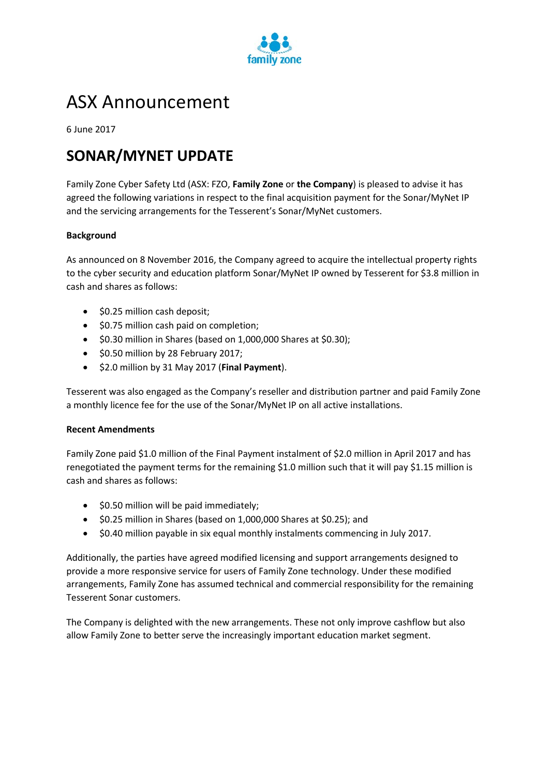

# ASX Announcement

6 June 2017

## **SONAR/MYNET UPDATE**

Family Zone Cyber Safety Ltd (ASX: FZO, **Family Zone** or **the Company**) is pleased to advise it has agreed the following variations in respect to the final acquisition payment for the Sonar/MyNet IP and the servicing arrangements for the Tesserent's Sonar/MyNet customers.

#### **Background**

As announced on 8 November 2016, the Company agreed to acquire the intellectual property rights to the cyber security and education platform Sonar/MyNet IP owned by Tesserent for \$3.8 million in cash and shares as follows:

- \$0.25 million cash deposit;
- \$0.75 million cash paid on completion;
- \$0.30 million in Shares (based on 1,000,000 Shares at \$0.30);
- \$0.50 million by 28 February 2017;
- \$2.0 million by 31 May 2017 (**Final Payment**).

Tesserent was also engaged as the Company's reseller and distribution partner and paid Family Zone a monthly licence fee for the use of the Sonar/MyNet IP on all active installations.

#### **Recent Amendments**

Family Zone paid \$1.0 million of the Final Payment instalment of \$2.0 million in April 2017 and has renegotiated the payment terms for the remaining \$1.0 million such that it will pay \$1.15 million is cash and shares as follows:

- \$0.50 million will be paid immediately;
- \$0.25 million in Shares (based on 1,000,000 Shares at \$0.25); and
- \$0.40 million payable in six equal monthly instalments commencing in July 2017.

Additionally, the parties have agreed modified licensing and support arrangements designed to provide a more responsive service for users of Family Zone technology. Under these modified arrangements, Family Zone has assumed technical and commercial responsibility for the remaining Tesserent Sonar customers.

The Company is delighted with the new arrangements. These not only improve cashflow but also allow Family Zone to better serve the increasingly important education market segment.